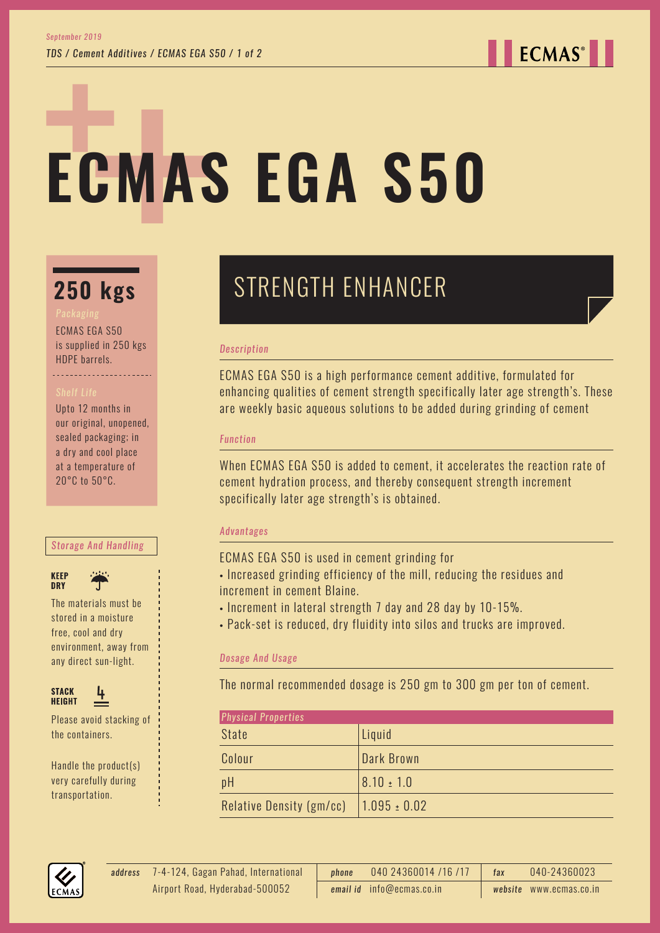**ECMAS**<sup>®</sup>

# **ECMAS EGA S50**

### **250 kgs**

ECMAS EGA S50 is supplied in 250 kgs HDPE barrels.

#### Upto 12 months in our original, unopened, sealed packaging; in a dry and cool place at a temperature of 20°C to 50°C.

#### *Storage And Handling*





The materials must be stored in a moisture free, cool and dry environment, away from any direct sun-light.



Please avoid stacking of the containers.

Handle the product(s) very carefully during transportation.

## STRENGTH ENHANCER

#### *Description*

ECMAS EGA S50 is a high performance cement additive, formulated for enhancing qualities of cement strength specifically later age strength's. These are weekly basic aqueous solutions to be added during grinding of cement

#### *Function*

When ECMAS EGA S50 is added to cement, it accelerates the reaction rate of cement hydration process, and thereby consequent strength increment specifically later age strength's is obtained.

#### *Advantages*

ECMAS EGA S50 is used in cement grinding for

- Increased grinding efficiency of the mill, reducing the residues and increment in cement Blaine.
- Increment in lateral strength 7 day and 28 day by 10-15%.
- Pack-set is reduced, dry fluidity into silos and trucks are improved.

#### *Dosage And Usage*

The normal recommended dosage is 250 gm to 300 gm per ton of cement.

| <b>Physical Properties</b> |                  |
|----------------------------|------------------|
| <b>State</b>               | Liquid           |
| Colour                     | Dark Brown       |
| pH                         | $8.10 \pm 1.0$   |
| Relative Density (gm/cc)   | $1.095 \pm 0.02$ |



7-4-124, Gagan Pahad, International *address phone* 040 24360014 /16 /17 *fax* 040-24360023 *email id* info@ecmas.co.in *website* www.ecmas.co.in